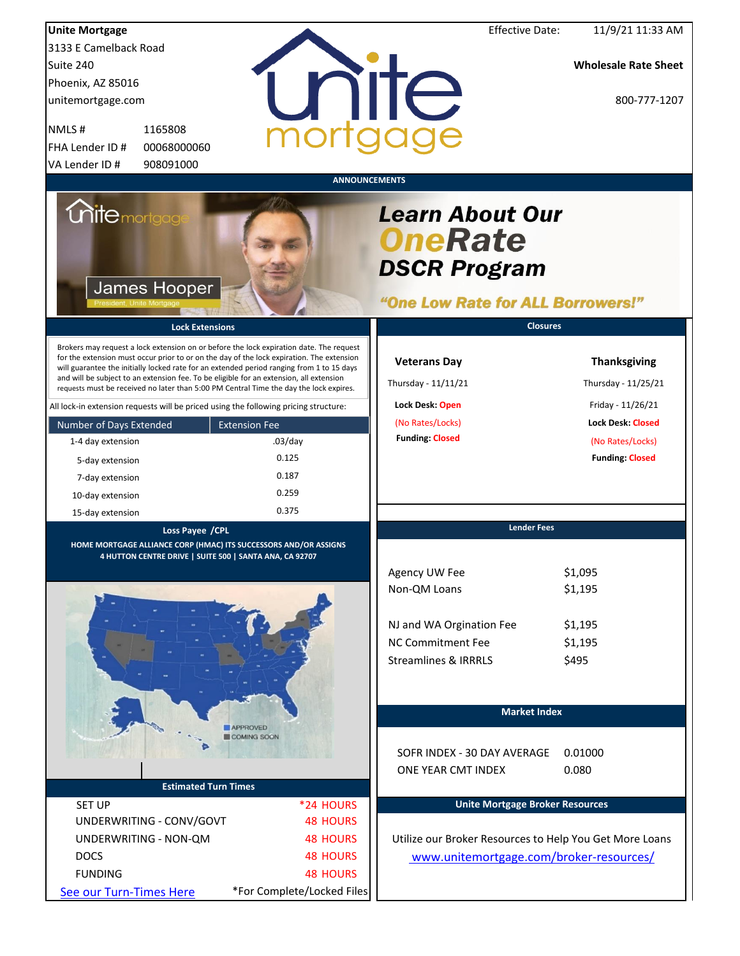| <b>Unite Mortgage</b>                                                                                                                                                                                                                                                                                                                                                                                                                                                  |                            | <b>Effective Date:</b>                                                                               | 11/9/21 11:33 AM                           |
|------------------------------------------------------------------------------------------------------------------------------------------------------------------------------------------------------------------------------------------------------------------------------------------------------------------------------------------------------------------------------------------------------------------------------------------------------------------------|----------------------------|------------------------------------------------------------------------------------------------------|--------------------------------------------|
| 3133 E Camelback Road                                                                                                                                                                                                                                                                                                                                                                                                                                                  |                            |                                                                                                      |                                            |
| Suite 240                                                                                                                                                                                                                                                                                                                                                                                                                                                              |                            |                                                                                                      | <b>Wholesale Rate Sheet</b>                |
| Phoenix, AZ 85016                                                                                                                                                                                                                                                                                                                                                                                                                                                      |                            |                                                                                                      |                                            |
| unitemortgage.com                                                                                                                                                                                                                                                                                                                                                                                                                                                      |                            | nite                                                                                                 | 800-777-1207                               |
|                                                                                                                                                                                                                                                                                                                                                                                                                                                                        |                            |                                                                                                      |                                            |
| NMLS#<br>1165808                                                                                                                                                                                                                                                                                                                                                                                                                                                       |                            |                                                                                                      |                                            |
| FHA Lender ID #<br>00068000060                                                                                                                                                                                                                                                                                                                                                                                                                                         |                            |                                                                                                      |                                            |
| 908091000<br>VA Lender ID#                                                                                                                                                                                                                                                                                                                                                                                                                                             |                            |                                                                                                      |                                            |
|                                                                                                                                                                                                                                                                                                                                                                                                                                                                        |                            | <b>ANNOUNCEMENTS</b>                                                                                 |                                            |
| <i><b>Unite</b> mortgage</i><br>James Hooper                                                                                                                                                                                                                                                                                                                                                                                                                           |                            | <b>Learn About Our</b><br><b>OneRate</b><br><b>DSCR Program</b><br>"One Low Rate for ALL Borrowers!" |                                            |
| <b>Lock Extensions</b>                                                                                                                                                                                                                                                                                                                                                                                                                                                 |                            | <b>Closures</b>                                                                                      |                                            |
| Brokers may request a lock extension on or before the lock expiration date. The request<br>for the extension must occur prior to or on the day of the lock expiration. The extension<br>will guarantee the initially locked rate for an extended period ranging from 1 to 15 days<br>and will be subject to an extension fee. To be eligible for an extension, all extension<br>requests must be received no later than 5:00 PM Central Time the day the lock expires. |                            | <b>Veterans Day</b><br>Thursday - 11/11/21                                                           | <b>Thanksgiving</b><br>Thursday - 11/25/21 |
| All lock-in extension requests will be priced using the following pricing structure:                                                                                                                                                                                                                                                                                                                                                                                   |                            | Lock Desk: Open                                                                                      | Friday - 11/26/21                          |
| Number of Days Extended                                                                                                                                                                                                                                                                                                                                                                                                                                                | <b>Extension Fee</b>       | (No Rates/Locks)                                                                                     | <b>Lock Desk: Closed</b>                   |
| 1-4 day extension                                                                                                                                                                                                                                                                                                                                                                                                                                                      | $.03$ /day                 | <b>Funding: Closed</b>                                                                               | (No Rates/Locks)                           |
| 5-day extension                                                                                                                                                                                                                                                                                                                                                                                                                                                        | 0.125                      |                                                                                                      | <b>Funding: Closed</b>                     |
| 7-day extension                                                                                                                                                                                                                                                                                                                                                                                                                                                        | 0.187                      |                                                                                                      |                                            |
| 10-day extension                                                                                                                                                                                                                                                                                                                                                                                                                                                       | 0.259                      |                                                                                                      |                                            |
| 15-day extension                                                                                                                                                                                                                                                                                                                                                                                                                                                       | 0.375                      |                                                                                                      |                                            |
| Loss Payee /CPL                                                                                                                                                                                                                                                                                                                                                                                                                                                        |                            | <b>Lender Fees</b>                                                                                   |                                            |
| HOME MORTGAGE ALLIANCE CORP (HMAC) ITS SUCCESSORS AND/OR ASSIGNS<br>4 HUTTON CENTRE DRIVE   SUITE 500   SANTA ANA, CA 92707                                                                                                                                                                                                                                                                                                                                            |                            |                                                                                                      |                                            |
|                                                                                                                                                                                                                                                                                                                                                                                                                                                                        |                            | Agency UW Fee                                                                                        | \$1,095                                    |
|                                                                                                                                                                                                                                                                                                                                                                                                                                                                        |                            | Non-QM Loans                                                                                         | \$1,195                                    |
|                                                                                                                                                                                                                                                                                                                                                                                                                                                                        |                            |                                                                                                      |                                            |
|                                                                                                                                                                                                                                                                                                                                                                                                                                                                        |                            | NJ and WA Orgination Fee                                                                             | \$1,195                                    |
|                                                                                                                                                                                                                                                                                                                                                                                                                                                                        |                            | <b>NC Commitment Fee</b>                                                                             | \$1,195                                    |
|                                                                                                                                                                                                                                                                                                                                                                                                                                                                        |                            | <b>Streamlines &amp; IRRRLS</b>                                                                      | \$495                                      |
|                                                                                                                                                                                                                                                                                                                                                                                                                                                                        |                            |                                                                                                      |                                            |
|                                                                                                                                                                                                                                                                                                                                                                                                                                                                        |                            |                                                                                                      |                                            |
|                                                                                                                                                                                                                                                                                                                                                                                                                                                                        |                            | <b>Market Index</b>                                                                                  |                                            |
|                                                                                                                                                                                                                                                                                                                                                                                                                                                                        | <b>APPROVED</b>            |                                                                                                      |                                            |
|                                                                                                                                                                                                                                                                                                                                                                                                                                                                        | COMING SOON                |                                                                                                      |                                            |
|                                                                                                                                                                                                                                                                                                                                                                                                                                                                        |                            | SOFR INDEX - 30 DAY AVERAGE                                                                          | 0.01000                                    |
|                                                                                                                                                                                                                                                                                                                                                                                                                                                                        |                            | ONE YEAR CMT INDEX                                                                                   | 0.080                                      |
| <b>Estimated Turn Times</b>                                                                                                                                                                                                                                                                                                                                                                                                                                            |                            |                                                                                                      |                                            |
| <b>SET UP</b>                                                                                                                                                                                                                                                                                                                                                                                                                                                          | *24 HOURS                  | <b>Unite Mortgage Broker Resources</b>                                                               |                                            |
| UNDERWRITING - CONV/GOVT                                                                                                                                                                                                                                                                                                                                                                                                                                               | <b>48 HOURS</b>            |                                                                                                      |                                            |
| UNDERWRITING - NON-QM                                                                                                                                                                                                                                                                                                                                                                                                                                                  | <b>48 HOURS</b>            | Utilize our Broker Resources to Help You Get More Loans                                              |                                            |
| <b>DOCS</b>                                                                                                                                                                                                                                                                                                                                                                                                                                                            | <b>48 HOURS</b>            | www.unitemortgage.com/broker-resources/                                                              |                                            |
| <b>FUNDING</b>                                                                                                                                                                                                                                                                                                                                                                                                                                                         | <b>48 HOURS</b>            |                                                                                                      |                                            |
| See our Turn-Times Here                                                                                                                                                                                                                                                                                                                                                                                                                                                | *For Complete/Locked Files |                                                                                                      |                                            |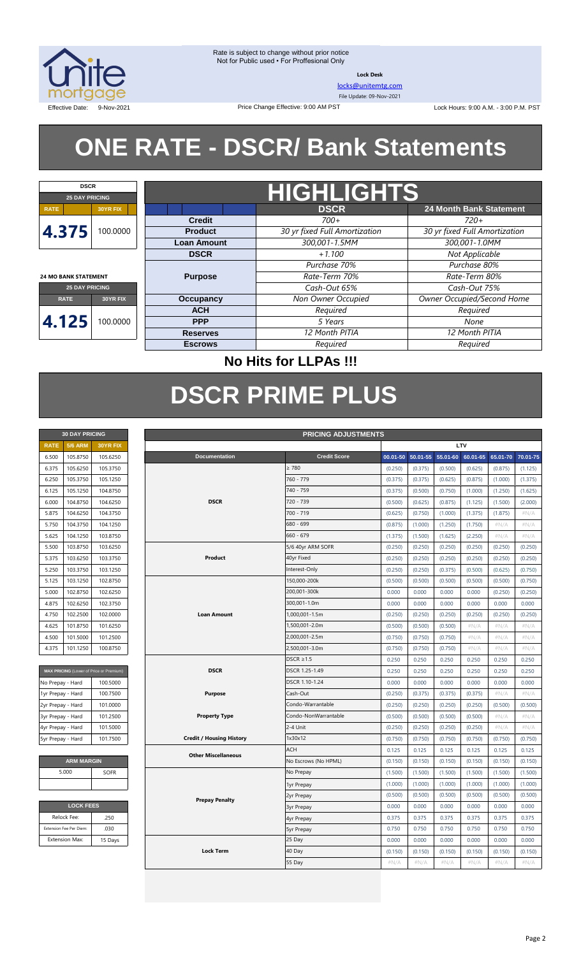

**Lock Desk**

[locks@unitemtg.com](mailto:locks@unitemtg.com)

File Update: 09-Nov-2021

Effective Date: 9-Nov-2021 Change Effective: 9:00 AM PST Change Effective: 9:00 AM PST Change Effective: 9:00 AM PST

# **ONE RATE - DSCR/ Bank Statements**

| <b>DSCR</b>                 |                 |                    |                               |                                |  |  |  |  |
|-----------------------------|-----------------|--------------------|-------------------------------|--------------------------------|--|--|--|--|
| <b>25 DAY PRICING</b>       |                 | <b>HIGHLIGHTS</b>  |                               |                                |  |  |  |  |
| <b>RATE</b>                 | <b>30YR FIX</b> |                    | <b>DSCR</b>                   | <b>24 Month Bank Statement</b> |  |  |  |  |
|                             |                 | <b>Credit</b>      | $700+$                        | $720+$                         |  |  |  |  |
| 4.375                       | 100.0000        | <b>Product</b>     | 30 yr fixed Full Amortization | 30 yr fixed Full Amortization  |  |  |  |  |
|                             |                 | <b>Loan Amount</b> | 300,001-1.5MM                 | 300,001-1.0MM                  |  |  |  |  |
|                             |                 | <b>DSCR</b>        | $+1.100$                      | Not Applicable                 |  |  |  |  |
|                             |                 |                    | Purchase 70%                  | Purchase 80%                   |  |  |  |  |
| <b>24 MO BANK STATEMENT</b> |                 | <b>Purpose</b>     | Rate-Term 70%                 |                                |  |  |  |  |
| <b>25 DAY PRICING</b>       |                 |                    | Cash-Out 65%                  | Cash-Out 75%                   |  |  |  |  |
| <b>RATE</b>                 | 30YR FIX        | <b>Occupancy</b>   | Non Owner Occupied            | Owner Occupied/Second Home     |  |  |  |  |
|                             |                 | <b>ACH</b>         | Required                      | Required                       |  |  |  |  |
| 4.125                       | 100.0000        | <b>PPP</b>         | 5 Years                       | None                           |  |  |  |  |
|                             |                 | <b>Reserves</b>    | 12 Month PITIA                | 12 Month PITIA                 |  |  |  |  |
|                             |                 | <b>Escrows</b>     | Required                      | Required                       |  |  |  |  |

## **No Hits for LLPAs !!!**

# **DSCR PRIME PLUS**

| <b>30 DAY PRICING</b> |                |                 |  |  |  |  |  |  |  |
|-----------------------|----------------|-----------------|--|--|--|--|--|--|--|
| <b>RATE</b>           | <b>5/6 ARM</b> | <b>30YR FIX</b> |  |  |  |  |  |  |  |
| 6.500                 | 105.8750       | 105.6250        |  |  |  |  |  |  |  |
| 6.375                 | 105.6250       | 105.3750        |  |  |  |  |  |  |  |
| 6.250                 | 105.3750       | 105.1250        |  |  |  |  |  |  |  |
| 6.125                 | 105.1250       | 104.8750        |  |  |  |  |  |  |  |
| 6.000                 | 104.8750       | 104.6250        |  |  |  |  |  |  |  |
| 5.875                 | 104.6250       | 104.3750        |  |  |  |  |  |  |  |
| 5.750                 | 104.3750       | 104.1250        |  |  |  |  |  |  |  |
| 5.625                 | 104.1250       | 103.8750        |  |  |  |  |  |  |  |
| 5.500                 | 103.8750       | 103.6250        |  |  |  |  |  |  |  |
| 5.375                 | 103.6250       | 103.3750        |  |  |  |  |  |  |  |
| 5.250                 | 103.3750       | 103.1250        |  |  |  |  |  |  |  |
| 5.125                 | 103.1250       | 102.8750        |  |  |  |  |  |  |  |
| 5.000                 | 102.8750       | 102.6250        |  |  |  |  |  |  |  |
| 4.875                 | 102.6250       | 102.3750        |  |  |  |  |  |  |  |
| 4.750                 | 102.2500       | 102,0000        |  |  |  |  |  |  |  |
| 4.625                 | 101.8750       | 101.6250        |  |  |  |  |  |  |  |
| 4.500                 | 101.5000       | 101.2500        |  |  |  |  |  |  |  |
| 4.375                 | 101.1250       | 100.8750        |  |  |  |  |  |  |  |

| MAX PRICING (Lower of Price or Premium) |          |
|-----------------------------------------|----------|
| No Prepay - Hard                        | 100.5000 |
| 1yr Prepay - Hard                       | 100.7500 |
| 2yr Prepay - Hard                       | 101.0000 |
| 3yr Prepay - Hard                       | 101.2500 |
| 4yr Prepay - Hard                       | 101.5000 |
| 5yr Prepay - Hard                       | 101.7500 |

| <b>ARM MARGIN</b>    |  |  |  |  |  |  |
|----------------------|--|--|--|--|--|--|
| 5.000<br><b>SOFR</b> |  |  |  |  |  |  |
|                      |  |  |  |  |  |  |

| <b>LOCK FEES</b>        |         |  |  |  |  |  |
|-------------------------|---------|--|--|--|--|--|
| Relock Fee:             | .250    |  |  |  |  |  |
| Extension Fee Per Diem: | .030    |  |  |  |  |  |
| <b>Extension Max:</b>   | 15 Days |  |  |  |  |  |

|                   | <b>30 DAY PRICING</b>   |                                         | <b>PRICING ADJUSTMENTS</b>      |     |                      |          |          |          |          |          |          |
|-------------------|-------------------------|-----------------------------------------|---------------------------------|-----|----------------------|----------|----------|----------|----------|----------|----------|
| <b>RATE</b>       | <b>5/6 ARM</b>          | 30YR FIX                                |                                 |     |                      |          |          | LTV      |          |          |          |
| 6.500             | 105.8750                | 105.6250                                | Documentation                   |     | <b>Credit Score</b>  | 00.01-50 | 50.01-55 | 55.01-60 | 60.01-65 | 65.01-70 | 70.01-75 |
| 6.375             | 105.6250                | 105.3750                                |                                 |     | $\geq 780$           | (0.250)  | (0.375)  | (0.500)  | (0.625)  | (0.875)  | (1.125)  |
| 6.250             | 105.3750                | 105.1250                                |                                 |     | 760 - 779            | (0.375)  | (0.375)  | (0.625)  | (0.875)  | (1.000)  | (1.375)  |
| 6.125             | 105.1250                | 104.8750                                |                                 |     | 740 - 759            | (0.375)  | (0.500)  | (0.750)  | (1.000)  | (1.250)  | (1.625)  |
| 6.000             | 104.8750                | 104.6250                                | <b>DSCR</b>                     |     | 720 - 739            | (0.500)  | (0.625)  | (0.875)  | (1.125)  | (1.500)  | (2.000)  |
| 5.875             | 104.6250                | 104.3750                                |                                 |     | 700 - 719            | (0.625)  | (0.750)  | (1.000)  | (1.375)  | (1.875)  | #N/A     |
| 5.750             | 104.3750                | 104.1250                                |                                 |     | 680 - 699            | (0.875)  | (1.000)  | (1.250)  | (1.750)  | $\#N/A$  | #N/A     |
| 5.625             | 104.1250                | 103.8750                                |                                 |     | 660 - 679            | (1.375)  | (1.500)  | (1.625)  | (2.250)  | #N/A     | #N/A     |
| 5.500             | 103.8750                | 103.6250                                |                                 |     | 5/6 40yr ARM SOFR    | (0.250)  | (0.250)  | (0.250)  | (0.250)  | (0.250)  | (0.250)  |
| 5.375             | 103.6250                | 103.3750                                | Product                         |     | 40yr Fixed           | (0.250)  | (0.250)  | (0.250)  | (0.250)  | (0.250)  | (0.250)  |
| 5.250             | 103.3750                | 103.1250                                |                                 |     | Interest-Only        | (0.250)  | (0.250)  | (0.375)  | (0.500)  | (0.625)  | (0.750)  |
| 5.125             | 103.1250                | 102.8750                                |                                 |     | 150,000-200k         | (0.500)  | (0.500)  | (0.500)  | (0.500)  | (0.500)  | (0.750)  |
| 5.000             | 102.8750                | 102.6250                                |                                 |     | 200,001-300k         | 0.000    | 0.000    | 0.000    | 0.000    | (0.250)  | (0.250)  |
| 4.875             | 102.6250                | 102.3750                                |                                 |     | 300,001-1.0m         | 0.000    | 0.000    | 0.000    | 0.000    | 0.000    | 0.000    |
| 4.750             | 102.2500                | 102.0000                                | <b>Loan Amount</b>              |     | 1,000,001-1.5m       | (0.250)  | (0.250)  | (0.250)  | (0.250)  | (0.250)  | (0.250)  |
| 4.625             | 101.8750                | 101.6250                                |                                 |     | 1,500,001-2.0m       | (0.500)  | (0.500)  | (0.500)  | #N/A     | #N/A     | #N/A     |
| 4.500             | 101.5000                | 101.2500                                |                                 |     | 2,000,001-2.5m       | (0.750)  | (0.750)  | (0.750)  | $\#N/A$  | $\#N/A$  | #N/A     |
| 4.375             | 101.1250                | 100.8750                                |                                 |     | 2,500,001-3.0m       | (0.750)  | (0.750)  | (0.750)  | $\#N/A$  | $\#N/A$  | $\#N/A$  |
|                   |                         |                                         |                                 |     | $DSCR \geq 1.5$      | 0.250    | 0.250    | 0.250    | 0.250    | 0.250    | 0.250    |
|                   |                         | MAX PRICING (Lower of Price or Premium) | <b>DSCR</b>                     |     | DSCR 1.25-1.49       | 0.250    | 0.250    | 0.250    | 0.250    | 0.250    | 0.250    |
| No Prepay - Hard  |                         | 100.5000                                |                                 |     | DSCR 1.10-1.24       | 0.000    | 0.000    | 0.000    | 0.000    | 0.000    | 0.000    |
| 1yr Prepay - Hard |                         | 100.7500                                | Purpose                         |     | Cash-Out             | (0.250)  | (0.375)  | (0.375)  | (0.375)  | $\#N/A$  | $\#N/A$  |
| 2yr Prepay - Hard |                         | 101.0000                                |                                 |     | Condo-Warrantable    | (0.250)  | (0.250)  | (0.250)  | (0.250)  | (0.500)  | (0.500)  |
| 3yr Prepay - Hard |                         | 101.2500                                | <b>Property Type</b>            |     | Condo-NonWarrantable | (0.500)  | (0.500)  | (0.500)  | (0.500)  | $\#N/A$  | $\#N/A$  |
| 4yr Prepay - Hard |                         | 101.5000                                |                                 |     | 2-4 Unit             | (0.250)  | (0.250)  | (0.250)  | (0.250)  | $\#N/A$  | $\#N/A$  |
| 5yr Prepay - Hard |                         | 101.7500                                | <b>Credit / Housing History</b> |     | 1x30x12              | (0.750)  | (0.750)  | (0.750)  | (0.750)  | (0.750)  | (0.750)  |
|                   |                         |                                         | <b>Other Miscellaneous</b>      | ACH |                      | 0.125    | 0.125    | 0.125    | 0.125    | 0.125    | 0.125    |
|                   | <b>ARM MARGIN</b>       |                                         |                                 |     | No Escrows (No HPML) | (0.150)  | (0.150)  | (0.150)  | (0.150)  | (0.150)  | (0.150)  |
|                   | 5.000                   | SOFR                                    |                                 |     | No Prepay            | (1.500)  | (1.500)  | (1.500)  | (1.500)  | (1.500)  | (1.500)  |
|                   |                         |                                         |                                 |     | 1yr Prepay           | (1.000)  | (1.000)  | (1.000)  | (1.000)  | (1.000)  | (1.000)  |
|                   |                         |                                         | <b>Prepay Penalty</b>           |     | 2yr Prepay           | (0.500)  | (0.500)  | (0.500)  | (0.500)  | (0.500)  | (0.500)  |
|                   | <b>LOCK FEES</b>        |                                         |                                 |     | <b>3yr Prepay</b>    | 0.000    | 0.000    | 0.000    | 0.000    | 0.000    | 0.000    |
|                   | Relock Fee:             | .250                                    |                                 |     | 4yr Prepay           | 0.375    | 0.375    | 0.375    | 0.375    | 0.375    | 0.375    |
|                   | Extension Fee Per Diem: | .030                                    |                                 |     | 5yr Prepay           | 0.750    | 0.750    | 0.750    | 0.750    | 0.750    | 0.750    |
|                   | <b>Extension Max:</b>   | 15 Days                                 |                                 |     | 25 Day               | 0.000    | 0.000    | 0.000    | 0.000    | 0.000    | 0.000    |
|                   |                         |                                         | <b>Lock Term</b>                |     | 40 Day               | (0.150)  | (0.150)  | (0.150)  | (0.150)  | (0.150)  | (0.150)  |
|                   |                         |                                         |                                 |     | 55 Day               | $\#N/A$  | $\#N/A$  | $\#N/A$  | $\#N/A$  | $\#N/A$  | $\#N/A$  |
|                   |                         |                                         |                                 |     |                      |          |          |          |          |          |          |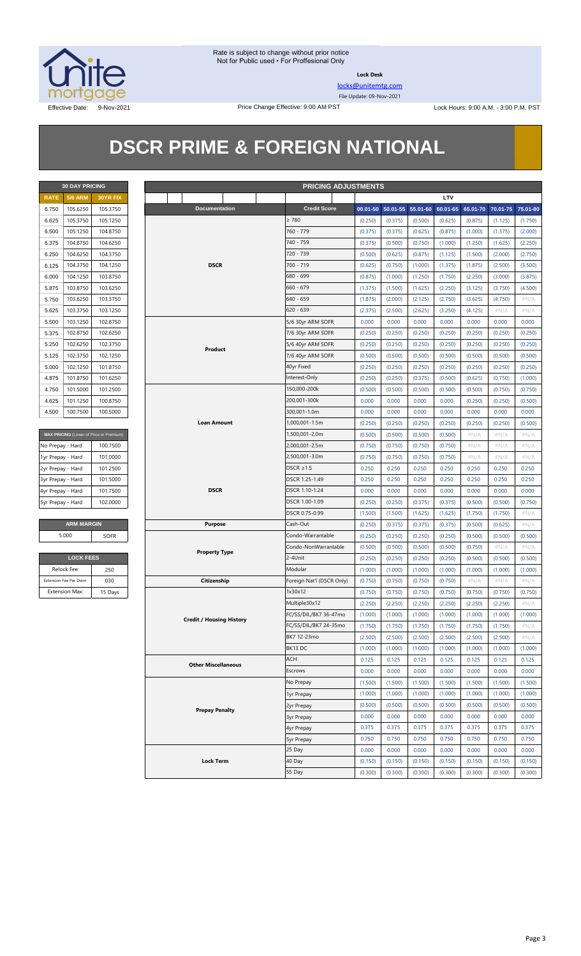

**Lock Desk**

[locks@unitemtg.com](mailto:locks@unitemtg.com)

File Update: 09-Nov-2021

Effective Date: 9-Nov-2021 Price Change Effective: 9:00 AM PST Lock Hours: 9:00 A.M. - 3:00 P.M. PST

# **DSCR PRIME & FOREIGN NATIONAL**

| <b>30 DAY PRICING</b> |                |                 |  |  |  |  |  |  |
|-----------------------|----------------|-----------------|--|--|--|--|--|--|
| <b>RATE</b>           | <b>5/6 ARM</b> | <b>30YR FIX</b> |  |  |  |  |  |  |
| 6.750                 | 105.6250       | 105.3750        |  |  |  |  |  |  |
| 6.625                 | 105.3750       | 105.1250        |  |  |  |  |  |  |
| 6.500                 | 105.1250       | 104.8750        |  |  |  |  |  |  |
| 6.375                 | 104.8750       | 104.6250        |  |  |  |  |  |  |
| 6.250                 | 104.6250       | 104.3750        |  |  |  |  |  |  |
| 6.125                 | 104.3750       | 104.1250        |  |  |  |  |  |  |
| 6.000                 | 104.1250       | 103.8750        |  |  |  |  |  |  |
| 5.875                 | 103.8750       | 103.6250        |  |  |  |  |  |  |
| 5.750                 | 103.6250       | 103.3750        |  |  |  |  |  |  |
| 5.625                 | 103.3750       | 103.1250        |  |  |  |  |  |  |
| 5.500                 | 103.1250       | 102.8750        |  |  |  |  |  |  |
| 5.375                 | 102.8750       | 102.6250        |  |  |  |  |  |  |
| 5.250                 | 102.6250       | 102.3750        |  |  |  |  |  |  |
| 5.125                 | 102.3750       | 102.1250        |  |  |  |  |  |  |
| 5.000                 | 102.1250       | 101.8750        |  |  |  |  |  |  |
| 4.875                 | 101.8750       | 101.6250        |  |  |  |  |  |  |
| 4.750                 | 101.5000       | 101.2500        |  |  |  |  |  |  |
| 4.625                 | 101.1250       | 100.8750        |  |  |  |  |  |  |
| 4.500                 | 100.7500       | 100.5000        |  |  |  |  |  |  |

| <b>MAX PRICING</b> (Lower of Price or Premium) |          |
|------------------------------------------------|----------|
| No Prepay - Hard                               | 100.7500 |
| 1yr Prepay - Hard                              | 101.0000 |
| 2yr Prepay - Hard                              | 101.2500 |
| 3yr Prepay - Hard                              | 101.5000 |
| 4yr Prepay - Hard                              | 101.7500 |
| 5yr Prepay - Hard                              | 102.0000 |
|                                                |          |

#### $\overline{ARM}$  **MARGIN** 5.000

| <b>LOCK FEES</b> |  |  |  |  |  |  |
|------------------|--|--|--|--|--|--|
| .250             |  |  |  |  |  |  |
| .030             |  |  |  |  |  |  |
| 15 Days          |  |  |  |  |  |  |
|                  |  |  |  |  |  |  |

|                   | <b>30 DAY PRICING</b>   |                                         | <b>PRICING ADJUSTMENTS</b> |                                 |                   |                           |         |                   |              |          |          |          |          |
|-------------------|-------------------------|-----------------------------------------|----------------------------|---------------------------------|-------------------|---------------------------|---------|-------------------|--------------|----------|----------|----------|----------|
| <b>RATE</b>       | <b>5/6 ARM</b>          | 30YR FIX                                |                            |                                 |                   |                           |         |                   |              | LTV      |          |          |          |
| 6.750             | 105.6250                | 105.3750                                |                            | <b>Documentation</b>            |                   | <b>Credit Score</b>       |         | 00.01-50 50.01-55 | $55.01 - 60$ | 60.01-65 | 65.01-70 | 70.01-75 | 75.01-80 |
| 6.625             | 105.3750                | 105.1250                                |                            |                                 |                   | $\geq 780$                | (0.250) | (0.375)           | (0.500)      | (0.625)  | (0.875)  | (1.125)  | (1.750)  |
| 6.500             | 105.1250                | 104.8750                                |                            |                                 |                   | 760 - 779                 | (0.375) | (0.375)           | (0.625)      | (0.875)  | (1.000)  | (1.375)  | (2.000)  |
| 6.375             | 104.8750                | 104.6250                                |                            |                                 |                   | 740 - 759                 | (0.375) | (0.500)           | (0.750)      | (1.000)  | (1.250)  | (1.625)  | (2.250)  |
| 6.250             | 104.6250                | 104.3750                                |                            |                                 |                   | 720 - 739                 | (0.500) | (0.625)           | (0.875)      | (1.125)  | (1.500)  | (2.000)  | (2.750)  |
| 6.125             | 104.3750                | 104.1250                                |                            | <b>DSCR</b>                     |                   | 700 - 719                 | (0.625) | (0.750)           | (1.000)      | (1.375)  | (1.875)  | (2.500)  | (3.500)  |
| 6.000             | 104.1250                | 103.8750                                |                            |                                 |                   | 680 - 699                 | (0.875) | (1.000)           | (1.250)      | (1.750)  | (2.250)  | (3.000)  | (3.875)  |
| 5.875             | 103.8750                | 103.6250                                |                            |                                 |                   | $660 - 679$               | (1.375) | (1.500)           | (1.625)      | (2.250)  | (3.125)  | (3.750)  | (4.500)  |
| 5.750             | 103.6250                | 103.3750                                |                            |                                 |                   | $640 - 659$               | (1.875) | (2.000)           | (2.125)      | (2.750)  | (3.625)  | (4.750)  | #N/A     |
| 5.625             | 103.3750                | 103.1250                                |                            |                                 |                   | $620 - 639$               | (2.375) | (2.500)           | (2.625)      | (3.250)  | (4.125)  | $\#N/A$  | $\#N/A$  |
| 5.500             | 103.1250                | 102.8750                                |                            |                                 |                   | 5/6 30yr ARM SOFR         | 0.000   | 0.000             | 0.000        | 0.000    | 0.000    | 0.000    | 0.000    |
| 5.375             | 102.8750                | 102.6250                                |                            |                                 |                   | 7/6 30yr ARM SOFR         | (0.250) | (0.250)           | (0.250)      | (0.250)  | (0.250)  | (0.250)  | (0.250)  |
| 5.250             | 102.6250                | 102.3750                                |                            | Product                         |                   | 5/6 40yr ARM SOFR         | (0.250) | (0.250)           | (0.250)      | (0.250)  | (0.250)  | (0.250)  | (0.250)  |
| 5.125             | 102.3750                | 102.1250                                |                            |                                 |                   | 7/6 40yr ARM SOFR         | (0.500) | (0.500)           | (0.500)      | (0.500)  | (0.500)  | (0.500)  | (0.500)  |
| 5.000             | 102.1250                | 101.8750                                |                            |                                 |                   | 40yr Fixed                | (0.250) | (0.250)           | (0.250)      | (0.250)  | (0.250)  | (0.250)  | (0.250)  |
| 4.875             | 101.8750                | 101.6250                                |                            |                                 |                   | Interest-Only             | (0.250) | (0.250)           | (0.375)      | (0.500)  | (0.625)  | (0.750)  | (1.000)  |
| 4.750             | 101.5000                | 101.2500                                |                            |                                 |                   | 150,000-200k              | (0.500) | (0.500)           | (0.500)      | (0.500)  | (0.500)  | (0.750)  | (0.750)  |
| 4.625             | 101.1250                | 100.8750                                |                            |                                 |                   | 200,001-300k              | 0.000   | 0.000             | 0.000        | 0.000    | (0.250)  | (0.250)  | (0.500)  |
| 4.500             | 100.7500                | 100.5000                                |                            |                                 |                   | 300,001-1.0m              | 0.000   | 0.000             | 0.000        | 0.000    | 0.000    | 0.000    | 0.000    |
|                   |                         |                                         |                            | <b>Loan Amount</b>              |                   | 1,000,001-1.5m            | (0.250) | (0.250)           | (0.250)      | (0.250)  | (0.250)  | (0.250)  | (0.500)  |
|                   |                         | MAX PRICING (Lower of Price or Premium) |                            |                                 |                   | 1,500,001-2.0m            | (0.500) | (0.500)           | (0.500)      | (0.500)  | $\#N/A$  | $\#N/A$  | #N/A     |
| No Prepay - Hard  |                         | 100.7500                                |                            |                                 |                   | 2,000,001-2.5m            | (0.750) | (0.750)           | (0.750)      | (0.750)  | #N/A     | #N/A     | #N/A     |
| 1yr Prepay - Hard |                         | 101.0000                                |                            |                                 |                   | 2,500,001-3.0m            | (0.750) | (0.750)           | (0.750)      | (0.750)  | #N/A     | #N/A     | #N/A     |
| 2yr Prepay - Hard |                         | 101.2500                                |                            |                                 |                   | $DSCR \geq 1.5$           | 0.250   | 0.250             | 0.250        | 0.250    | 0.250    | 0.250    | 0.250    |
| 3yr Prepay - Hard |                         | 101.5000                                |                            |                                 |                   | DSCR 1.25-1.49            | 0.250   | 0.250             | 0.250        | 0.250    | 0.250    | 0.250    | 0.250    |
| 4yr Prepay - Hard |                         | 101.7500                                |                            | <b>DSCR</b>                     |                   | DSCR 1.10-1.24            | 0.000   | 0.000             | 0.000        | 0.000    | 0.000    | 0.000    | 0.000    |
| 5yr Prepay - Hard |                         | 102.0000                                |                            |                                 |                   | DSCR 1.00-1.09            | (0.250) | (0.250)           | (0.375)      | (0.375)  | (0.500)  | (0.500)  | (0.750)  |
|                   |                         |                                         |                            |                                 |                   | DSCR 0.75-0.99            | (1.500) | (1.500)           | (1.625)      | (1.625)  | (1.750)  | (1.750)  | $\#N/A$  |
|                   | <b>ARM MARGIN</b>       |                                         |                            | <b>Purpose</b>                  |                   | Cash-Out                  | (0.250) | (0.375)           | (0.375)      | (0.375)  | (0.500)  | (0.625)  | $\#N/A$  |
|                   | 5.000                   | SOFR                                    |                            |                                 |                   | Condo-Warrantable         | (0.250) | (0.250)           | (0.250)      | (0.250)  | (0.500)  | (0.500)  | (0.500)  |
|                   |                         |                                         |                            | <b>Property Type</b>            |                   | Condo-NonWarrantable      | (0.500) | (0.500)           | (0.500)      | (0.500)  | (0.750)  | #N/A     | #N/A     |
|                   |                         | <b>LOCK FEES</b>                        |                            |                                 | 2-4Unit           | (0.250)                   | (0.250) | (0.250)           | (0.250)      | (0.500)  | (0.500)  | (0.500)  |          |
|                   | Relock Fee:             | .250                                    |                            |                                 |                   | Modular                   | (1.000) | (1.000)           | (1.000)      | (1.000)  | (1.000)  | (1.000)  | (1.000)  |
|                   | Extension Fee Per Diem: | .030                                    |                            | Citizenship                     |                   | Foreign Nat'l (DSCR Only) | (0.750) | (0.750)           | (0.750)      | (0.750)  | $\#N/A$  | $\#N/A$  | $\#N/A$  |
|                   | <b>Extension Max:</b>   | 15 Days                                 |                            |                                 |                   | 1x30x12                   | (0.750) | (0.750)           | (0.750)      | (0.750)  | (0.750)  | (0.750)  | (0.750)  |
|                   |                         |                                         |                            |                                 |                   | Multiple30x12             | (2.250) | (2.250)           | (2.250)      | (2.250)  | (2.250)  | (2.250)  | #N/A     |
|                   |                         |                                         |                            | <b>Credit / Housing History</b> |                   | FC/SS/DIL/BK7 36-47mo     | (1.000) | (1.000)           | (1.000)      | (1.000)  | (1.000)  | (1.000)  | (1.000)  |
|                   |                         |                                         |                            |                                 |                   | FC/SS/DIL/BK7 24-35mo     | (1.750) | (1.750)           | (1.750)      | (1.750)  | (1.750)  | (1.750)  | $\#N/A$  |
|                   |                         |                                         |                            |                                 |                   | BK7 12-23mo               | (2.500) | (2.500)           | (2.500)      | (2.500)  | (2.500)  | (2.500)  | #N/A     |
|                   |                         |                                         |                            |                                 |                   | BK13 DC                   | (1.000) | (1.000)           | (1.000)      | (1.000)  | (1.000)  | (1.000)  | (1.000)  |
|                   |                         |                                         |                            | <b>Other Miscellaneous</b>      |                   | ACH                       | 0.125   | 0.125             | 0.125        | 0.125    | 0.125    | 0.125    | 0.125    |
|                   |                         |                                         |                            |                                 |                   | Escrows                   | 0.000   | 0.000             | 0.000        | 0.000    | 0.000    | 0.000    | 0.000    |
|                   |                         |                                         |                            |                                 |                   | No Prepay                 | (1.500) | (1.500)           | (1.500)      | (1.500)  | (1.500)  | (1.500)  | (1.500)  |
|                   |                         |                                         |                            |                                 | 1yr Prepay        | (1.000)                   | (1.000) | (1.000)           | (1.000)      | (1.000)  | (1.000)  | (1.000)  |          |
|                   |                         |                                         | <b>Prepay Penalty</b>      |                                 | 2yr Prepay        | (0.500)                   | (0.500) | (0.500)           | (0.500)      | (0.500)  | (0.500)  | (0.500)  |          |
|                   |                         |                                         |                            |                                 | 3yr Prepay        | 0.000                     | 0.000   | 0.000             | 0.000        | 0.000    | 0.000    | 0.000    |          |
|                   |                         |                                         |                            |                                 | 4yr Prepay        | 0.375                     | 0.375   | 0.375             | 0.375        | 0.375    | 0.375    | 0.375    |          |
|                   |                         |                                         |                            |                                 | <b>5yr Prepay</b> | 0.750                     | 0.750   | 0.750             | 0.750        | 0.750    | 0.750    | 0.750    |          |
|                   |                         |                                         |                            |                                 |                   | 25 Day                    | 0.000   | 0.000             | 0.000        | 0.000    | 0.000    | 0.000    | 0.000    |
|                   |                         |                                         |                            | <b>Lock Term</b>                |                   | 40 Day                    | (0.150) | (0.150)           | (0.150)      | (0.150)  | (0.150)  | (0.150)  | (0.150)  |
|                   |                         |                                         |                            |                                 |                   | 55 Day                    | (0.300) | (0.300)           | (0.300)      | (0.300)  | (0.300)  | (0.300)  | (0.300)  |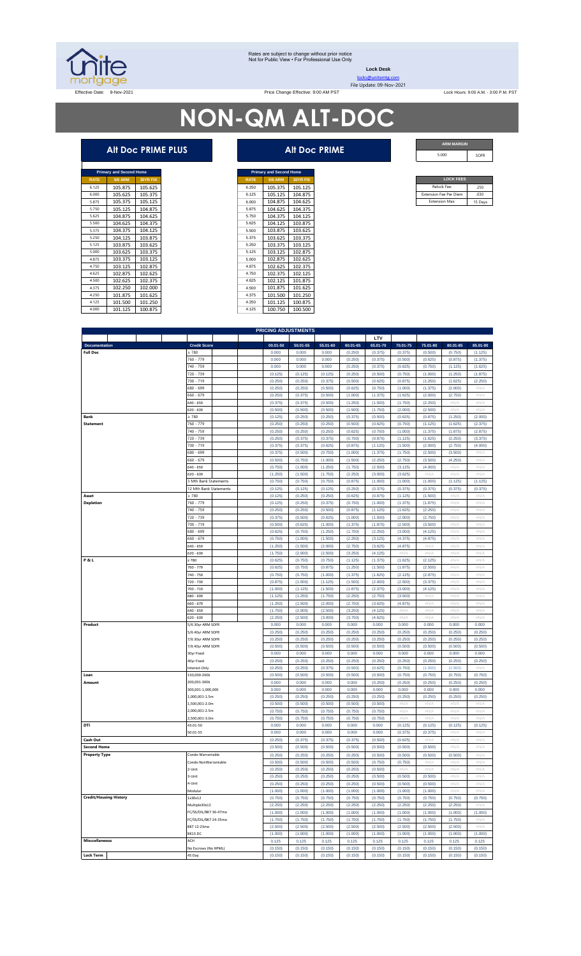

#### Rates are subject to change without prior notice Not for Public View • For Professional Use Only

**Lock Desk**

SOFR

# **NON-QM ALT-DOC**

|             | <b>Primary and Second Home</b> |                 |
|-------------|--------------------------------|-----------------|
| <b>RATE</b> | <b>5/6 ARM</b>                 | <b>30YR FIX</b> |
| 6.125       | 105.875                        | 105.625         |
| 6.000       | 105.625                        | 105.375         |
| 5.875       | 105.375                        | 105.125         |
| 5.750       | 105.125                        | 104.875         |
| 5.625       | 104.875                        | 104.625         |
| 5.500       | 104.625                        | 104.375         |
| 5375        | 104.375                        | 104.125         |
| 5250        | 104.125                        | 103.875         |
| 5.125       | 103.875                        | 103.625         |
| 5.000       | 103.625                        | 103.375         |
| 4.875       | 103.375                        | 103.125         |
| 4750        | 103.125                        | 102.875         |
| 4625        | 102.875                        | 102.625         |
| 4500        | 102.625                        | 102.375         |
| 4.375       | 102.250                        | 102.000         |
| 4.250       | 101.875                        | 101.625         |
| 4.125       | 101.500                        | 101.250         |
| 4.000       | 101.125                        | 100.875         |

|             | <b>Primary and Second Home</b> |                 |             | <b>Primary and Second Home</b> |                 |
|-------------|--------------------------------|-----------------|-------------|--------------------------------|-----------------|
| <b>RATE</b> | <b>5/6 ARM</b>                 | <b>30YR FIX</b> | <b>RATE</b> | <b>5/6 ARM</b>                 | <b>30YR FIX</b> |
| 6.125       | 105.875                        | 105.625         | 6.250       | 105.375                        | 105.125         |
| 6.000       | 105.625                        | 105.375         | 6.125       | 105.125                        | 104.875         |
| 5.875       | 105.375                        | 105.125         | 6,000       | 104.875                        | 104.625         |
| 5.750       | 105.125                        | 104.875         | 5.875       | 104.625                        | 104.375         |
| 5.625       | 104.875                        | 104.625         | 5.750       | 104.375                        | 104.125         |
| 5.500       | 104.625                        | 104.375         | 5.625       | 104.125                        | 103.875         |
| 5.375       | 104.375                        | 104.125         | 5,500       | 103.875                        | 103.625         |
| 5.250       | 104.125                        | 103.875         | 5.375       | 103.625                        | 103.375         |
| 5.125       | 103.875                        | 103.625         | 5.250       | 103.375                        | 103.125         |
| 5.000       | 103.625                        | 103.375         | 5.125       | 103.125                        | 102.875         |
| 4.875       | 103.375                        | 103.125         | 5,000       | 102.875                        | 102.625         |
| 4.750       | 103.125                        | 102.875         | 4.875       | 102.625                        | 102.375         |
| 4.625       | 102.875                        | 102.625         | 4.750       | 102.375                        | 102.125         |
| 4.500       | 102.625                        | 102.375         | 4.625       | 102.125                        | 101.875         |
| 4.375       | 102.250                        | 102.000         | 4.500       | 101.875                        | 101.625         |
| 4.250       | 101.875                        | 101.625         | 4.375       | 101.500                        | 101.250         |
| 4.125       | 101.500                        | 101.250         | 4.250       | 101.125                        | 100.875         |
| 4.000       | 101.125                        | 100.875         | 4.125       | 100.750                        | 100,500         |

| ARM   |
|-------|
| 5.000 |

| <b>LOCK FEES</b>              |         |
|-------------------------------|---------|
| Relock Fee:                   | 250     |
| <b>Extension Fee Per Diem</b> | 030     |
| <b>Extension Max:</b>         | 15 Days |

|                               |                            |              |          |          |          | LTV      |          |          |          |  |
|-------------------------------|----------------------------|--------------|----------|----------|----------|----------|----------|----------|----------|--|
| <b>Documentation</b>          | <b>Credit Score</b>        | $00.01 - 50$ | 50.01-55 | 55.01-60 | 60.01-65 | 65.01-70 | 70.01-75 | 75.01-80 | 80.01-85 |  |
| <b>Full Doc</b>               | 2780                       | 0.000        | 0.000    | 0.000    | (0.250)  | (0.375)  | (0.375)  | (0.500)  | (0.750)  |  |
|                               | 760 - 779                  | 0.000        | 0.000    | 0.000    | (0.250)  | (0.375)  | (0.500)  | (0.625)  | (0.875)  |  |
|                               | 40 - 759                   | 0.000        | 0.000    | 0.000    | (0.250)  |          | (0.625)  |          |          |  |
|                               |                            |              |          |          |          | (0.375)  |          | (0.750)  | (1.125)  |  |
|                               | 720 - 739                  | (0.125)      | (0.125)  | (0.125)  | (0.250)  | (0.500)  | (0.750)  | (1.000)  | (1.250)  |  |
|                               | 700 - 719                  | (0.250)      | (0.250)  | (0.375)  | (0.500)  | (0.625)  | (0.875)  | (1.250)  | (1.625)  |  |
|                               | 580 - 699                  | (0.250)      | (0.250)  | (0.500)  | (0.625)  | (0.750)  | (1.000)  | (1.375)  | (2.000)  |  |
|                               | 560 - 679                  | (0.250)      | (0.375)  | (0.500)  | (1.000)  | (1.375)  | (1.625)  | (2.000)  | (2.750)  |  |
|                               | 659 - 659                  | (0.375)      | (0.375)  | (0.500)  | (1.250)  | (1.500)  | (1.750)  | (2.250)  | #N/A     |  |
|                               | 620 - 639                  | (0.500)      | (0.500)  | (0.500)  | (1.500)  | (1.750)  | (2.000)  | (2.500)  | #N/      |  |
| Bank                          | $\geq 780$                 | (0.125)      | (0.250)  | (0.250)  | (0.375)  | (0.500)  | (0.625)  | (0.875)  | (1.250)  |  |
|                               |                            |              |          |          |          |          |          |          |          |  |
| <b>Statement</b>              | 760 - 779                  | (0.250)      | (0.250)  | (0.250)  | (0.500)  | (0.625)  | (0.750)  | (1.125)  | (1.625)  |  |
|                               | 740 - 759                  | (0.250)      | (0.250)  | (0.250)  | (0.625)  | (0.750)  | (1.000)  | (1.375)  | (1.875)  |  |
|                               | 720 - 739                  | (0.250)      | (0.375)  | (0.375)  | (0.750)  | (0.875)  | (1.125)  | (1.625)  | (2.250)  |  |
|                               | 700 - 719                  | (0.375)      | (0.375)  | (0.625)  | (0.875)  | (1.125)  | (1.500)  | (2.000)  | (2.750)  |  |
|                               | 580 - 699                  | (0.375)      | (0.500)  | (0.750)  | (1.000)  | (1.375)  | (1.750)  | (2.500)  | (3.500)  |  |
|                               | 60 - 679                   | (0.500)      | (0.750)  | (1.000)  | (1.500)  | (2.250)  | (2.750)  | (3.500)  | (4.250)  |  |
|                               | 640 - 659                  | (0.750)      | (1.000)  | (1.250)  | (1.750)  | (2.500)  | (3.125)  | (4.000)  | #N/A     |  |
|                               | 20 - 639                   | (1.250)      | (1.500)  | (1.750)  | (2.250)  | (3.000)  | (3.625)  | #N/A     | #N/A     |  |
|                               |                            |              |          |          |          |          |          |          |          |  |
|                               | <b>Mth Bank Statements</b> | (0.750)      | (0.750)  | (0.750)  | (0.875)  | (1.000)  | (1.000)  | (1.000)  | (1.125)  |  |
|                               | 12 Mth Bank Statements     | (0.125)      | (0.125)  | (0.125)  | (0.250)  | (0.375)  | (0.375)  | (0.375)  | (0.375)  |  |
| Asset                         | 2780                       | (0.125)      | (0.250)  | (0.250)  | (0.625)  | (0.875)  | (1.125)  | (1.500)  | #N/A     |  |
| <b>Depletion</b>              | 760 - 779                  | (0.125)      | (0.250)  | (0.375)  | (0.750)  | (1.000)  | (1.375)  | (1.875)  | #N/A     |  |
|                               | 740 - 759                  | (0.250)      | (0.250)  | (0.500)  | (0.875)  | (1.125)  | (1.625)  | (2.250)  | #N//     |  |
|                               | 720 - 739                  | (0.375)      | (0.500)  | (0.625)  | (1.000)  | (1.500)  | (2.000)  | (2.750)  | #N/A     |  |
|                               | 700 - 719                  | (0.500)      | (0.625)  | (1.000)  | (1.375)  | (1.875)  | (2.500)  | (3.500)  | #N/A     |  |
|                               | 580 - 699                  | (0.625)      | (0.750)  | (1.250)  | (1.750)  | (2.250)  | (3.000)  | (4.125)  | #N/A     |  |
|                               |                            |              |          |          |          |          |          |          |          |  |
|                               | 660 - 679                  | (0.750)      | (1.000)  | (1.500)  | (2.250)  | (3.125)  | (4.375)  | (4.875)  | #N/A     |  |
|                               | 540 - 659                  | (1.250)      | (1.500)  | (2.000)  | (2.750)  | (3.625)  | (4.875)  | #N/A     | #N/A     |  |
|                               | 520 - 639                  | (1.750)      | (2.000)  | (2.500)  | (3.250)  | (4.125)  | #N/A     | #N/A     | #N/A     |  |
| <b>P&amp;L</b>                | :780                       | (0.625)      | (0.750)  | (0.750)  | (1.125)  | (1.375)  | (1.625)  | (2.125)  | #N/A     |  |
|                               | $760 - 779$                | (0.625)      | (0.750)  | (0.875)  | (1.250)  | (1.500)  | (1.875)  | (2.500)  | #N/A     |  |
|                               | 740 - 759                  | (0.750)      | (0.750)  | (1.000)  | (1.375)  | (1.625)  | (2.125)  | (2.875)  | #N/A     |  |
|                               | 720 - 739                  |              |          |          |          |          |          |          |          |  |
|                               |                            | (0.875)      | (1.000)  | (1.125)  | (1.500)  | (2.000)  | (2.500)  | (3.375)  | #N/A     |  |
|                               | 700 - 719                  | (1.000)      | (1.125)  | (1.500)  | (1.875)  | (2.375)  | (3.000)  | (4.125)  | #N//     |  |
|                               | 580 - 699                  | (1.125)      | (1.250)  | (1.750)  | (2.250)  | (2.750)  | (3.500)  | #N/A     | #N/A     |  |
|                               | 560 - 679                  | (1.250)      | (1.500)  | (2.000)  | (2.750)  | (3.625)  | (4.875)  | #N/A     | #N//     |  |
|                               | 640 - 659                  | (1.750)      | (2.000)  | (2.500)  | (3.250)  | (4.125)  | #N//     | #N/A     | #N/A     |  |
|                               | 520 - 639                  | (2.250)      | (2.500)  | (3.000)  | (3.750)  | (4.625)  | #N/      | #N//     | #N/      |  |
| Product                       | 5/6 30yr ARM SOFR          | 0.000        | 0.000    | 0.000    | 0.000    | 0.000    | 0.000    | 0.000    | 0.000    |  |
|                               | 5/6 40yr ARM SOFR          | (0.250)      | (0.250)  | (0.250)  | (0.250)  | (0.250)  | (0.250)  | (0.250)  | (0.250)  |  |
|                               | 7/6 30yr ARM SOFR          | (0.250)      | (0.250)  | (0.250)  | (0.250)  | (0.250)  | (0.250)  | (0.250)  | (0.250)  |  |
|                               |                            |              |          |          |          |          |          |          |          |  |
|                               | 7/6 40yr ARM SOFR          | (0.500)      | (0.500)  | (0.500)  | (0.500)  | (0.500)  | (0.500)  | (0.500)  | (0.500)  |  |
|                               | 30yr Fixed                 | 0.000        | 0.000    | 0.000    | 0.000    | 0.000    | 0.000    | 0.000    | 0.000    |  |
|                               | 40yr Fixed                 | (0.250)      | (0.250)  | (0.250)  | (0.250)  | (0.250)  | (0.250)  | (0.250)  | (0.250)  |  |
|                               | nterest-Only               | (0.250)      | (0.250)  | (0.375)  | (0.500)  | (0.625)  | (0.750)  | (1.000)  | (1.500)  |  |
| Loan                          | 150,000-200k               | (0.500)      | (0.500)  | (0.500)  | (0.500)  | (0.500)  | (0.750)  | (0.750)  | (0.750)  |  |
| Amount                        | 200,001-300k               | 0.000        | 0.000    | 0.000    | 0.000    | (0.250)  | (0.250)  | (0.250)  | (0.250)  |  |
|                               | 300.001-1.000.000          | 0.000        | 0.000    | 0.000    | 0.000    | 0.000    | 0.000    | 0.000    | 0.000    |  |
|                               |                            |              |          |          |          |          |          |          |          |  |
|                               | 1,000,001-1.5m             | (0.250)      | (0.250)  | (0.250)  | (0.250)  | (0.250)  | (0.250)  | (0.250)  | (0.250)  |  |
|                               | 1.500.001-2.0m             | (0.500)      | (0.500)  | (0.500)  | (0.500)  | (0.500)  | #N/.     | #N//     | #N//     |  |
|                               | 2,000,001-2.5m             | (0.750)      | (0.750)  | (0.750)  | (0.750)  | (0.750)  | #N//     | #N/A     | #N/A     |  |
|                               | 2,500,001-3.0m             | (0.750)      | (0.750)  | (0.750)  | (0.750)  | (0.750)  | #N/A     | #N/A     | #N/A     |  |
| DTI                           | 43.01-50                   | 0.000        | 0.000    | 0.000    | 0.000    | 0.000    | (0.125)  | (0.125)  | (0.125)  |  |
|                               | 50.01-55                   | 0.000        | 0.000    | 0.000    | 0.000    | 0.000    | (0.375)  | (0.375)  | #N/A     |  |
| Cash Out                      |                            | (0.250)      | (0.375)  |          |          | (0.500)  | (0.625)  | #N/A     | #N/A     |  |
|                               |                            |              |          | (0.375)  | (0.375)  |          |          |          |          |  |
| <b>Second Home</b>            |                            | (0.500)      | (0.500)  | (0.500)  | (0.500)  | (0.500)  | (0.500)  | (0.500)  | #N/A     |  |
|                               | Condo-Warrantable          | (0.250)      | (0.250)  | (0.250)  | (0.250)  | (0.500)  | (0.500)  | (0.500)  | (0.500)  |  |
| <b>Property Type</b>          | Condo-NonWarrantable       | (0.500)      | (0.500)  | (0.500)  | (0.500)  | (0.750)  | (0.750)  | #N/A     | #N//     |  |
|                               |                            | (0.250)      | (0.250)  | (0.250)  | (0.250)  | (0.500)  | #N/A     | #N/A     | #N/A     |  |
|                               | 2-Unit                     |              |          |          |          |          |          | (0.500)  | #N/A     |  |
|                               |                            |              |          |          |          |          |          |          |          |  |
|                               | 3-Unit                     | (0.250)      | (0.250)  | (0.250)  | (0.250)  | (0.500)  | (0.500)  |          |          |  |
|                               | 4-Unit                     | (0.250)      | (0.250)  | (0.250)  | (0.250)  | (0.500)  | (0.500)  | (0.500)  | #N/A     |  |
|                               | Modular                    | (1.000)      | (1.000)  | (1.000)  | (1.000)  | (1.000)  | (1.000)  | (1.000)  | #N//     |  |
| <b>Credit/Housing History</b> | 1x30x12                    | (0.750)      | (0.750)  | (0.750)  | (0.750)  | (0.750)  | (0.750)  | (0.750)  | (0.750)  |  |
|                               | Multiple30x12              | (2.250)      | (2.250)  | (2.250)  | (2.250)  | (2.250)  | (2.250)  | (2.250)  | (2.250)  |  |
|                               | FC/SS/DIL/BK7 36-47mo      | (1.000)      | (1.000)  | (1.000)  | (1.000)  | (1.000)  | (1.000)  | (1.000)  | (1.000)  |  |
|                               | FC/SS/DIL/BK7 24-35mo      |              |          |          |          |          |          |          |          |  |
|                               |                            | (1.750)      | (1.750)  | (1.750)  | (1.750)  | (1.750)  | (1.750)  | (1.750)  | (1.750)  |  |
|                               | BK7 12-23mo                | (2.500)      | (2.500)  | (2.500)  | (2.500)  | (2.500)  | (2.500)  | (2.500)  | (2.500)  |  |
|                               | BK13 DC                    | (1.000)      | (1.000)  | (1.000)  | (1.000)  | (1.000)  | (1.000)  | (1.000)  | (1.000)  |  |
| <b>Misccellaneous</b>         | ACH                        | 0.125        | 0.125    | 0.125    | 0.125    | 0.125    | 0.125    | 0.125    | 0.125    |  |

## **Alt Doc PRIME PLUS Alt Doc PRIME**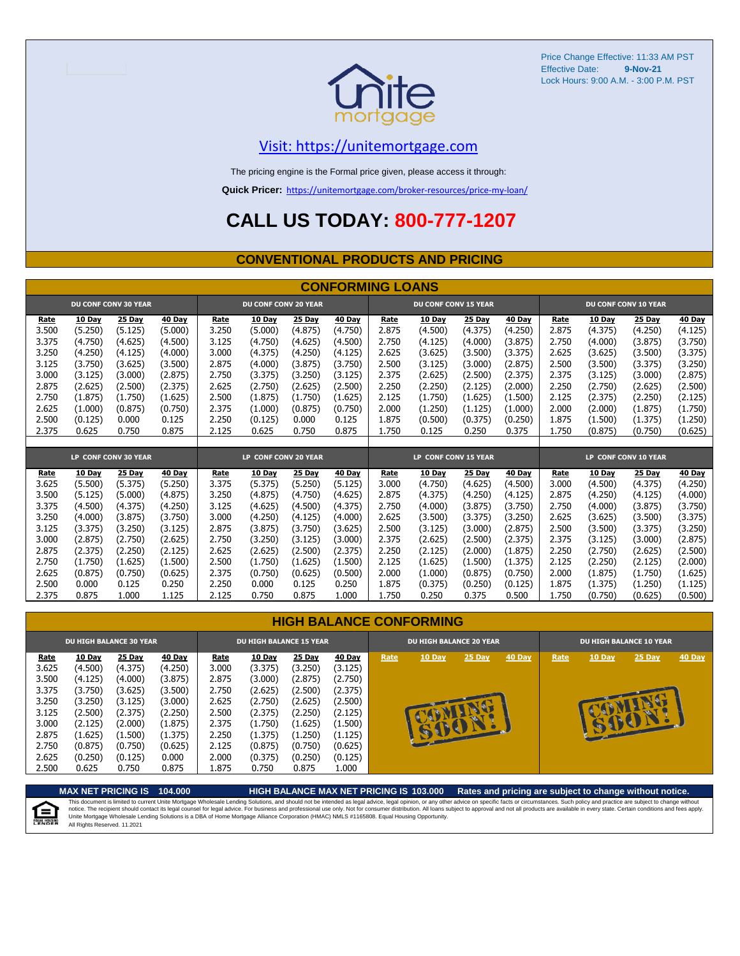

#### [V](https://unitemortgage.com/)isit: https://unitemortgage.com

The pricing engine is the Formal price given, please access it through:

**Quick Pricer:** [https://un](https://unitemortgage.com/broker-resources/price-my-loan/)itemortgage.com/broker-resources/price-my-loan/

# **CALL US TODAY: 800-777-1207**

#### **CONVENTIONAL PRODUCTS AND PRICING**

|       |               |                             |         |       |                             |               | <b>CONFORMING LOANS</b> |       |                             |               |               |                      |               |                      |                    |  |
|-------|---------------|-----------------------------|---------|-------|-----------------------------|---------------|-------------------------|-------|-----------------------------|---------------|---------------|----------------------|---------------|----------------------|--------------------|--|
|       |               | <b>DU CONF CONV 30 YEAR</b> |         |       | <b>DU CONF CONV 20 YEAR</b> |               |                         |       | <b>DU CONF CONV 15 YEAR</b> |               |               | DU CONF CONV 10 YEAR |               |                      |                    |  |
| Rate  | <b>10 Day</b> | 25 Day                      | 40 Day  | Rate  | 10 Day                      | <b>25 Day</b> | 40 Day                  | Rate  | 10 Day                      | <b>25 Day</b> | <b>40 Day</b> | Rate                 | <b>10 Day</b> | <b>25 Day</b>        | <b>40 Day</b>      |  |
| 3.500 | (5.250)       | (5.125)                     | (5.000) | 3.250 | (5.000)                     | (4.875)       | (4.750)                 | 2.875 | (4.500)                     | (4.375)       | (4.250)       | 2.875                | (4.375)       | (4.250)              | (4.125)            |  |
| 3.375 | (4.750)       | (4.625)                     | (4.500) | 3.125 | (4.750)                     | (4.625)       | (4.500)                 | 2.750 | (4.125)                     | (4.000)       | (3.875)       | 2.750                | (4.000)       | (3.875)              | (3.750)            |  |
| 3.250 | (4.250)       | (4.125)                     | (4.000) | 3.000 | (4.375)                     | (4.250)       | (4.125)                 | 2.625 | (3.625)                     | (3.500)       | (3.375)       | 2.625                | (3.625)       | (3.500)              | (3.375)            |  |
| 3.125 | (3.750)       | (3.625)                     | (3.500) | 2.875 | (4.000)                     | (3.875)       | (3.750)                 | 2.500 | (3.125)                     | (3.000)       | (2.875)       | 2.500                | (3.500)       | (3.375)              | (3.250)            |  |
| 3.000 | (3.125)       | (3.000)                     | (2.875) | 2.750 | (3.375)                     | (3.250)       | (3.125)                 | 2.375 | (2.625)                     | (2.500)       | (2.375)       | 2.375                | (3.125)       | (3.000)              | (2.875)            |  |
| 2.875 | (2.625)       | (2.500)                     | (2.375) | 2.625 | (2.750)                     | (2.625)       | (2.500)                 | 2.250 | (2.250)                     | (2.125)       | (2.000)       | 2.250                | (2.750)       | (2.625)              | (2.500)            |  |
| 2.750 | (1.875)       | (1.750)                     | (1.625) | 2.500 | (1.875)                     | (1.750)       | (1.625)                 | 2.125 | (1.750)                     | (1.625)       | (1.500)       | 2.125                | (2.375)       | (2.250)              | (2.125)            |  |
| 2.625 | (1.000)       | (0.875)                     | (0.750) | 2.375 | (1.000)                     | (0.875)       | (0.750)                 | 2.000 | (1.250)                     | (1.125)       | (1.000)       | 2.000                | (2.000)       | (1.875)              | (1.750)            |  |
| 2.500 | (0.125)       | 0.000                       | 0.125   | 2.250 | (0.125)                     | 0.000         | 0.125                   | 1.875 | (0.500)                     | (0.375)       | (0.250)       | 1.875                | (1.500)       | (1.375)              | (1.250)            |  |
| 2.375 | 0.625         | 0.750                       | 0.875   | 2.125 | 0.625                       | 0.750         | 0.875                   | 1.750 | 0.125                       | 0.250         | 0.375         | 1.750                | (0.875)       | (0.750)              | (0.625)            |  |
|       |               |                             |         |       |                             |               |                         |       |                             |               |               |                      |               |                      |                    |  |
|       |               |                             |         |       |                             |               |                         |       |                             |               |               |                      |               |                      |                    |  |
|       |               | LP CONF CONV 30 YEAR        |         |       | LP CONF CONV 20 YEAR        |               |                         |       | LP CONF CONV 15 YEAR        |               |               |                      |               | LP CONF CONV 10 YEAR |                    |  |
| Rate  | 10 Day        | 25 Day                      | 40 Day  | Rate  | 10 Day                      | 25 Day        | 40 Day                  | Rate  | 10 Day                      | <b>25 Day</b> | <b>40 Day</b> | Rate                 | <b>10 Day</b> | 25 Day               | <b>40 Day</b>      |  |
| 3.625 | (5.500)       | (5.375)                     | (5.250) | 3.375 | (5.375)                     | (5.250)       | (5.125)                 | 3.000 | (4.750)                     | (4.625)       | (4.500)       | 3.000                | (4.500)       | (4.375)              | (4.250)            |  |
| 3.500 | (5.125)       | (5.000)                     | (4.875) | 3.250 | (4.875)                     | (4.750)       | (4.625)                 | 2.875 | (4.375)                     | (4.250)       | (4.125)       | 2.875                | (4.250)       | (4.125)              | (4.000)            |  |
| 3.375 | (4.500)       | (4.375)                     | (4.250) | 3.125 | (4.625)                     | (4.500)       | (4.375)                 | 2.750 | (4.000)                     | (3.875)       | (3.750)       | 2.750                | (4.000)       | (3.875)              | (3.750)            |  |
| 3.250 | (4.000)       | (3.875)                     | (3.750) | 3.000 | (4.250)                     | (4.125)       | (4.000)                 | 2.625 | (3.500)                     | (3.375)       | (3.250)       | 2.625                | (3.625)       | (3.500)              | (3.375)            |  |
| 3.125 | (3.375)       | (3.250)                     | (3.125) | 2.875 | (3.875)                     | (3.750)       | (3.625)                 | 2.500 | (3.125)                     | (3.000)       | (2.875)       | 2.500                | (3.500)       | (3.375)              | (3.250)            |  |
| 3.000 | (2.875)       | (2.750)                     | (2.625) | 2.750 | (3.250)                     | (3.125)       | (3.000)                 | 2.375 | (2.625)                     | (2.500)       | (2.375)       | 2.375                | (3.125)       | (3.000)              | (2.875)            |  |
| 2.875 | (2.375)       | (2.250)                     | (2.125) | 2.625 | (2.625)                     | (2.500)       | (2.375)                 | 2.250 | (2.125)                     | (2.000)       | (1.875)       | 2.250                | (2.750)       | (2.625)              | (2.500)            |  |
| 2.750 | (1.750)       | (1.625)                     | (1.500) | 2.500 | (1.750)                     | (1.625)       | (1.500)                 | 2.125 | (1.625)                     | (1.500)       | (1.375)       | 2.125                | (2.250)       | (2.125)              | (2.000)            |  |
| 2.625 | (0.875)       | (0.750)                     | (0.625) | 2.375 | (0.750)                     | (0.625)       | (0.500)                 | 2.000 | (1.000)                     | (0.875)       | (0.750)       | 2.000                | (1.875)       | (1.750)              | (1.625)            |  |
| 2.500 | 0.000         | 0.125                       | 0.250   | 2.250 | 0.000                       | 0.125         | 0.250<br>1.000          | 1.875 | (0.375)                     | (0.250)       | (0.125)       | 1.875                | (1.375)       | (1.250)              | (1.125)<br>(0.500) |  |

| <b>HIGH BALANCE CONFORMING</b> |
|--------------------------------|
|--------------------------------|

|             |               | <b>DU HIGH BALANCE 30 YEAR</b> |               | <b>DU HIGH BALANCE 15 YEAR</b> |               |               |               |      | <b>DU HIGH BALANCE 20 YEAR</b> |        |        | <b>DU HIGH BALANCE 10 YEAR</b> |        |        |        |  |
|-------------|---------------|--------------------------------|---------------|--------------------------------|---------------|---------------|---------------|------|--------------------------------|--------|--------|--------------------------------|--------|--------|--------|--|
| <u>Rate</u> | <b>10 Day</b> | <b>25 Day</b>                  | <b>40 Day</b> | <u>Rate</u>                    | <b>10 Day</b> | <b>25 Day</b> | <b>40 Day</b> | Rate | 10 Day                         | 25 Day | 40 Day | Rate                           | 10 Day | 25 Day | 40 Day |  |
| 3.625       | (4.500)       | (4.375)                        | (4.250)       | 3.000                          | (3.375)       | (3.250)       | (3.125)       |      |                                |        |        |                                |        |        |        |  |
| 3.500       | (4.125)       | (4.000)                        | (3.875)       | 2.875                          | (3.000)       | (2.875)       | (2.750)       |      |                                |        |        |                                |        |        |        |  |
| 3.375       | (3.750)       | (3.625)                        | (3.500)       | 2.750                          | (2.625)       | (2.500)       | (2.375)       |      |                                |        |        |                                |        |        |        |  |
| 3.250       | (3.250)       | (3.125)                        | (3.000)       | 2.625                          | (2.750)       | (2.625)       | (2.500)       |      |                                |        |        |                                |        |        |        |  |
| 3.125       | (2.500)       | (2.375)                        | (2.250)       | 2.500                          | (2.375)       | (2.250)       | (2.125)       |      |                                | æ      |        |                                |        | on.    |        |  |
| 3.000       | (2.125)       | (2.000)                        | (1.875)       | 2.375                          | (1.750)       | (1.625)       | (1.500)       |      |                                |        |        |                                |        |        |        |  |
| 2.875       | (1.625)       | (1.500)                        | (1.375)       | 2.250                          | (1.375)       | (1.250)       | (1.125)       |      |                                |        |        |                                |        |        |        |  |
| 2.750       | (0.875)       | (0.750)                        | (0.625)       | 2.125                          | (0.875)       | (0.750)       | (0.625)       |      |                                |        |        |                                |        |        |        |  |
| 2.625       | (0.250)       | (0.125)                        | 0.000         | 2.000                          | (0.375)       | (0.250)       | (0.125)       |      |                                |        |        |                                |        |        |        |  |
| 2.500       | 0.625         | 0.750                          | 0.875         | 1.875                          | 0.750         | 0.875         | 1.000         |      |                                |        |        |                                |        |        |        |  |



**MAX NET PRICING IS 104.000 HIGH BALANCE MAX NET PRICING IS 103.000 Rates and pricing are subject to change without notice.**

This document is limited to current Unite Mortgage Wholesale Lending Solutions, and should not be intended as legal advice, legal opinion, or any other advice on specific facts or circumstances. Such policy and practice ar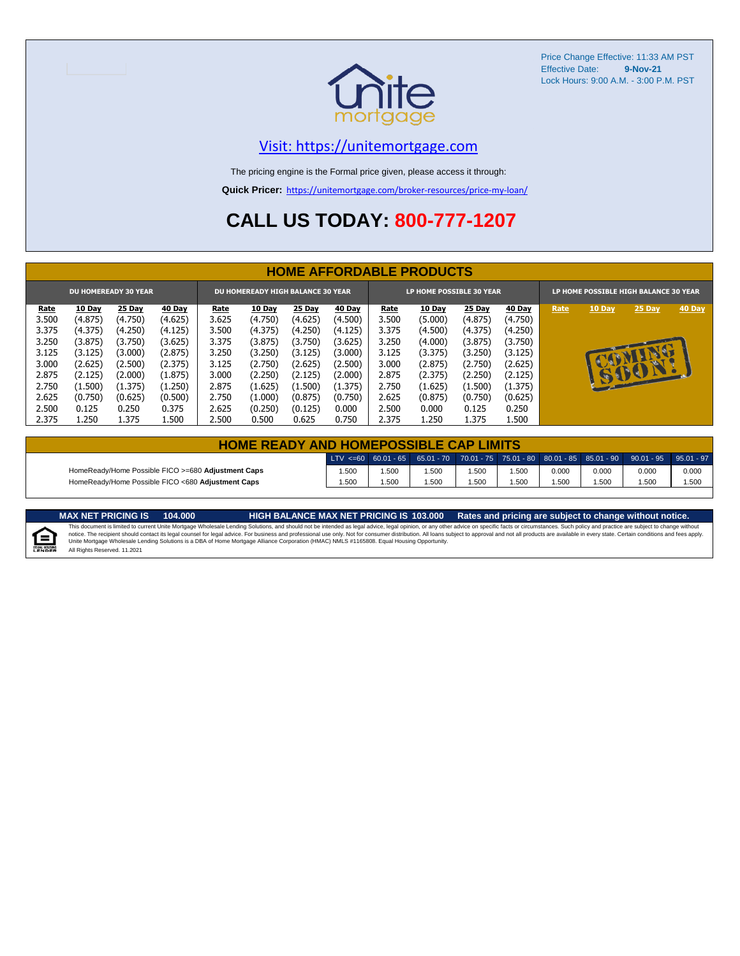

#### [V](https://unitemortgage.com/)isit: https://unitemortgage.com

The pricing engine is the Formal price given, please access it through:

**Quick Pricer:** [https://un](https://unitemortgage.com/broker-resources/price-my-loan/)itemortgage.com/broker-resources/price-my-loan/

# **CALL US TODAY: 800-777-1207**

|             | <b>HOME AFFORDABLE PRODUCTS</b> |                             |               |       |                                          |               |               |             |                          |               |               |                                       |              |        |        |  |
|-------------|---------------------------------|-----------------------------|---------------|-------|------------------------------------------|---------------|---------------|-------------|--------------------------|---------------|---------------|---------------------------------------|--------------|--------|--------|--|
|             |                                 | <b>DU HOMEREADY 30 YEAR</b> |               |       | <b>DU HOMEREADY HIGH BALANCE 30 YEAR</b> |               |               |             | LP HOME POSSIBLE 30 YEAR |               |               | LP HOME POSSIBLE HIGH BALANCE 30 YEAR |              |        |        |  |
| <u>Rate</u> | <b>10 Day</b>                   | 25 Day                      | <b>40 Day</b> | Rate  | <b>10 Day</b>                            | <b>25 Day</b> | <b>40 Day</b> | <u>Rate</u> | <b>10 Day</b>            | <b>25 Day</b> | <b>40 Day</b> | Rate                                  | 10 Day       | 25 Day | 40 Day |  |
| 3.500       | (4.875)                         | (4.750)                     | (4.625)       | 3.625 | (4.750)                                  | (4.625)       | (4.500)       | 3.500       | (5.000)                  | (4.875)       | (4.750)       |                                       |              |        |        |  |
| 3.375       | (4.375)                         | (4.250)                     | (4.125)       | 3.500 | (4.375)                                  | (4.250)       | (4.125)       | 3.375       | (4.500)                  | (4.375)       | (4.250)       |                                       |              |        |        |  |
| 3.250       | (3.875)                         | (3.750)                     | (3.625)       | 3.375 | (3.875)                                  | (3.750)       | (3.625)       | 3.250       | (4.000)                  | (3.875)       | (3.750)       |                                       |              |        |        |  |
| 3.125       | (3.125)                         | (3.000)                     | (2.875)       | 3.250 | (3.250)                                  | (3.125)       | (3.000)       | 3.125       | (3.375)                  | (3.250)       | (3.125)       |                                       |              | MA     |        |  |
| 3.000       | (2.625)                         | (2.500)                     | (2.375)       | 3.125 | (2.750)                                  | (2.625)       | (2.500)       | 3.000       | (2.875)                  | (2.750)       | (2.625)       |                                       |              | u.     |        |  |
| 2.875       | (2.125)                         | (2.000)                     | (1.875)       | 3.000 | (2.250)                                  | (2.125)       | (2.000)       | 2.875       | (2.375)                  | (2.250)       | (2.125)       |                                       | $\mathbf{r}$ | SBON   |        |  |
| 2.750       | (1.500)                         | (1.375)                     | (1.250)       | 2.875 | (1.625)                                  | (1.500)       | (1.375)       | 2.750       | (1.625)                  | (1.500)       | (1.375)       |                                       |              |        |        |  |
| 2.625       | (0.750)                         | (0.625)                     | (0.500)       | 2.750 | (1.000)                                  | (0.875)       | (0.750)       | 2.625       | (0.875)                  | (0.750)       | (0.625)       |                                       |              |        |        |  |
| 2.500       | 0.125                           | 0.250                       | 0.375         | 2.625 | (0.250)                                  | (0.125)       | 0.000         | 2.500       | 0.000                    | 0.125         | 0.250         |                                       |              |        |        |  |
| 2.375       | 1.250                           | 1.375                       | 500           | 2.500 | 0.500                                    | 0.625         | 0.750         | 2.375       | 1.250                    | 1.375         | 500           |                                       |              |        |        |  |

| <b>HOME READY AND HOMEPOSSIBLE CAP LIMITS</b>      |       |      |      |      |      |       |       |                                                                                                  |       |  |  |  |  |
|----------------------------------------------------|-------|------|------|------|------|-------|-------|--------------------------------------------------------------------------------------------------|-------|--|--|--|--|
|                                                    |       |      |      |      |      |       |       | LTV <=60 60.01 - 65 65.01 - 70 70.01 - 75 75.01 - 80 80.01 - 85 85.01 - 90 90.01 - 95 95.01 - 97 |       |  |  |  |  |
| HomeReady/Home Possible FICO >=680 Adjustment Caps | .500  | .500 | .500 | .500 | .500 | 0.000 | 0.000 | 0.000                                                                                            | 0.000 |  |  |  |  |
| HomeReady/Home Possible FICO <680 Adjustment Caps  | 1.500 | .500 | .500 | .500 | .500 | .500  | 1.500 | .500                                                                                             | 1.500 |  |  |  |  |

MAX NET PRICING IS 103.000 Rates and pricing are subject to change without notice.<br>This document is limited to current Unite Mortgage Wholesale Lending Solutions, and should not be intended as legal advice, legal opinion,



All Rights Reserved. 11.2021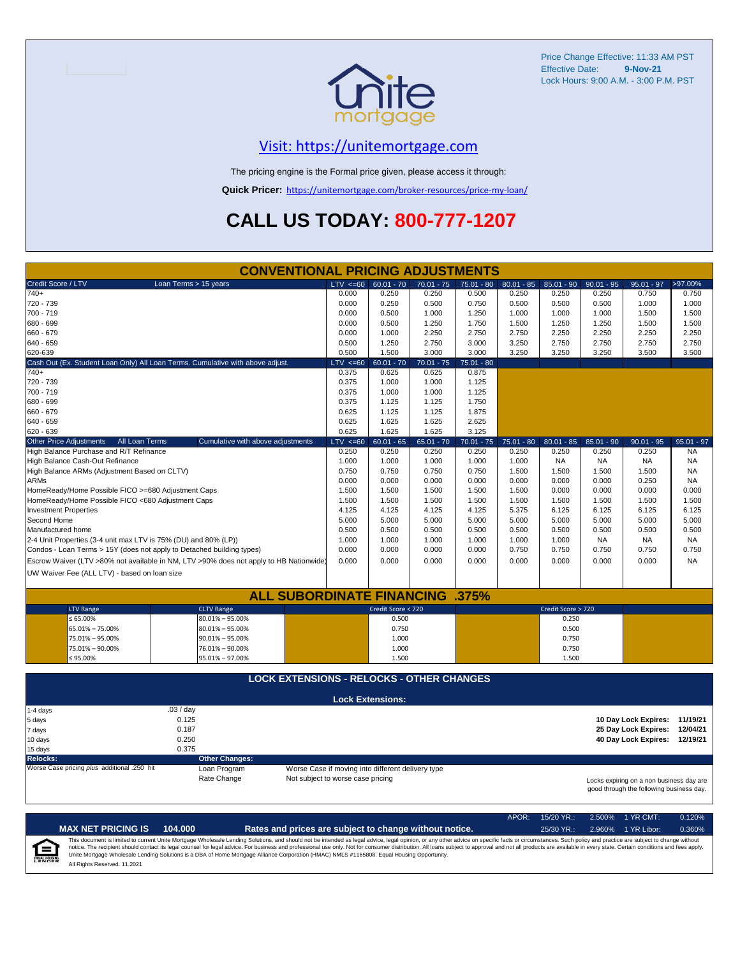

## [V](https://unitemortgage.com/)isit: https://unitemortgage.com

The pricing engine is the Formal price given, please access it through:

**Quick Pricer:** [https://un](https://unitemortgage.com/broker-resources/price-my-loan/)itemortgage.com/broker-resources/price-my-loan/

# **CALL US TODAY: 800-777-1207**

|                                                                       | <b>CONVENTIONAL PRICING ADJUSTMENTS</b>                                                |                                   |                                                   |              |              |              |                    |              |                                                                                      |              |
|-----------------------------------------------------------------------|----------------------------------------------------------------------------------------|-----------------------------------|---------------------------------------------------|--------------|--------------|--------------|--------------------|--------------|--------------------------------------------------------------------------------------|--------------|
| Credit Score / LTV                                                    | Loan Terms > 15 years                                                                  | $LTV \le 60$                      | $60.01 - 70$                                      | $70.01 - 75$ | $75.01 - 80$ | $80.01 - 85$ | $85.01 - 90$       | $90.01 - 95$ | $95.01 - 97$                                                                         | >97.00%      |
| $740+$                                                                |                                                                                        | 0.000                             | 0.250                                             | 0.250        | 0.500        | 0.250        | 0.250              | 0.250        | 0.750                                                                                | 0.750        |
| 720 - 739                                                             |                                                                                        | 0.000                             | 0.250                                             | 0.500        | 0.750        | 0.500        | 0.500              | 0.500        | 1.000                                                                                | 1.000        |
| 700 - 719                                                             |                                                                                        | 0.000                             | 0.500                                             | 1.000        | 1.250        | 1.000        | 1.000              | 1.000        | 1.500                                                                                | 1.500        |
| 680 - 699                                                             |                                                                                        | 0.000                             | 0.500                                             | 1.250        | 1.750        | 1.500        | 1.250              | 1.250        | 1.500                                                                                | 1.500        |
| 660 - 679                                                             |                                                                                        | 0.000                             | 1.000                                             | 2.250        | 2.750        | 2.750        | 2.250              | 2.250        | 2.250                                                                                | 2.250        |
| 640 - 659                                                             |                                                                                        | 0.500                             | 1.250                                             | 2.750        | 3.000        | 3.250        | 2.750              | 2.750        | 2.750                                                                                | 2.750        |
| 620-639                                                               |                                                                                        | 0.500                             | 1.500                                             | 3.000        | 3.000        | 3.250        | 3.250              | 3.250        | 3.500                                                                                | 3.500        |
|                                                                       | Cash Out (Ex. Student Loan Only) All Loan Terms. Cumulative with above adjust.         | $LTV \le 60$                      | $60.01 - 70$                                      | $70.01 - 75$ | $75.01 - 80$ |              |                    |              |                                                                                      |              |
| 740+                                                                  |                                                                                        | 0.375                             | 0.625                                             | 0.625        | 0.875        |              |                    |              |                                                                                      |              |
| 720 - 739                                                             |                                                                                        | 0.375                             | 1.000                                             | 1.000        | 1.125        |              |                    |              |                                                                                      |              |
| 700 - 719                                                             |                                                                                        | 0.375                             | 1.000                                             | 1.000        | 1.125        |              |                    |              |                                                                                      |              |
| 680 - 699                                                             |                                                                                        | 0.375                             | 1.125                                             | 1.125        | 1.750        |              |                    |              |                                                                                      |              |
| 660 - 679                                                             |                                                                                        | 0.625                             | 1.125                                             | 1.125        | 1.875        |              |                    |              |                                                                                      |              |
| 640 - 659                                                             |                                                                                        | 0.625                             | 1.625                                             | 1.625        | 2.625        |              |                    |              |                                                                                      |              |
| 620 - 639                                                             |                                                                                        | 0.625                             | 1.625                                             | 1.625        | 3.125        |              |                    |              |                                                                                      |              |
| Other Price Adjustments<br>All Loan Terms                             | Cumulative with above adjustments                                                      | $LTV \le 60$                      | $60.01 - 65$                                      | $65.01 - 70$ | $70.01 - 75$ | $75.01 - 80$ | $80.01 - 85$       | $85.01 - 90$ | $90.01 - 95$                                                                         | $95.01 - 97$ |
| High Balance Purchase and R/T Refinance                               |                                                                                        | 0.250                             | 0.250                                             | 0.250        | 0.250        | 0.250        | 0.250              | 0.250        | 0.250                                                                                | <b>NA</b>    |
| High Balance Cash-Out Refinance                                       |                                                                                        | 1.000                             | 1.000                                             | 1.000        | 1.000        | 1.000        | <b>NA</b>          | <b>NA</b>    | <b>NA</b>                                                                            | <b>NA</b>    |
| High Balance ARMs (Adjustment Based on CLTV)                          |                                                                                        | 0.750                             | 0.750                                             | 0.750        | 0.750        | 1.500        | 1.500              | 1.500        | 1.500                                                                                | <b>NA</b>    |
| <b>ARMs</b>                                                           |                                                                                        | 0.000                             | 0.000                                             | 0.000        | 0.000        | 0.000        | 0.000              | 0.000        | 0.250                                                                                | <b>NA</b>    |
| HomeReady/Home Possible FICO >=680 Adjustment Caps                    |                                                                                        | 1.500                             | 1.500                                             | 1.500        | 1.500        | 1.500        | 0.000              | 0.000        | 0.000                                                                                | 0.000        |
| HomeReady/Home Possible FICO <680 Adjustment Caps                     |                                                                                        | 1.500                             | 1.500                                             | 1.500        | 1.500        | 1.500        | 1.500              | 1.500        | 1.500                                                                                | 1.500        |
| <b>Investment Properties</b>                                          |                                                                                        | 4.125                             | 4.125                                             | 4.125        | 4.125        | 5.375        | 6.125              | 6.125        | 6.125                                                                                | 6.125        |
| Second Home                                                           |                                                                                        | 5.000                             | 5.000                                             | 5.000        | 5.000        | 5.000        | 5.000              | 5.000        | 5.000                                                                                | 5.000        |
| Manufactured home                                                     |                                                                                        | 0.500                             | 0.500                                             | 0.500        | 0.500        | 0.500        | 0.500              | 0.500        | 0.500                                                                                | 0.500        |
| 2-4 Unit Properties (3-4 unit max LTV is 75% (DU) and 80% (LP))       |                                                                                        | 1.000                             | 1.000                                             | 1.000        | 1.000        | 1.000        | 1.000              | <b>NA</b>    | <b>NA</b>                                                                            | <b>NA</b>    |
| Condos - Loan Terms > 15Y (does not apply to Detached building types) |                                                                                        | 0.000                             | 0.000                                             | 0.000        | 0.000        | 0.750        | 0.750              | 0.750        | 0.750                                                                                | 0.750        |
|                                                                       | Escrow Waiver (LTV >80% not available in NM, LTV >90% does not apply to HB Nationwide) | 0.000                             | 0.000                                             | 0.000        | 0.000        | 0.000        | 0.000              | 0.000        | 0.000                                                                                | <b>NA</b>    |
| UW Waiver Fee (ALL LTV) - based on loan size                          |                                                                                        |                                   |                                                   |              |              |              |                    |              |                                                                                      |              |
|                                                                       |                                                                                        |                                   |                                                   |              |              |              |                    |              |                                                                                      |              |
|                                                                       | <b>ALL SUBORDINATE FINANCING .375%</b>                                                 |                                   |                                                   |              |              |              |                    |              |                                                                                      |              |
| <b>LTV Range</b>                                                      | <b>CLTV Range</b>                                                                      |                                   | Credit Score < 720                                |              |              |              | Credit Score > 720 |              |                                                                                      |              |
| $\leq 65.00\%$                                                        | $80.01\% - 95.00\%$                                                                    |                                   | 0.500                                             |              |              |              | 0.250              |              |                                                                                      |              |
| 65.01% - 75.00%                                                       | $80.01\% - 95.00\%$                                                                    |                                   | 0.750                                             |              |              |              | 0.500              |              |                                                                                      |              |
| 75.01% - 95.00%                                                       | $90.01\% - 95.00\%$                                                                    |                                   | 1.000                                             |              |              |              | 0.750              |              |                                                                                      |              |
| 75.01% - 90.00%                                                       | 76.01% - 90.00%                                                                        |                                   | 1.000                                             |              |              |              | 0.750              |              |                                                                                      |              |
| ≤ 95.00%                                                              | 95.01% - 97.00%                                                                        |                                   | 1.500                                             |              |              |              | 1.500              |              |                                                                                      |              |
|                                                                       | <b>LOCK EXTENSIONS - RELOCKS - OTHER CHANGES</b>                                       |                                   |                                                   |              |              |              |                    |              |                                                                                      |              |
|                                                                       |                                                                                        |                                   |                                                   |              |              |              |                    |              |                                                                                      |              |
|                                                                       |                                                                                        |                                   | <b>Lock Extensions:</b>                           |              |              |              |                    |              |                                                                                      |              |
| 1-4 days                                                              | .03/day                                                                                |                                   |                                                   |              |              |              |                    |              |                                                                                      |              |
| 5 days                                                                | 0.125<br>0.187                                                                         |                                   |                                                   |              |              |              |                    |              | 10 Day Lock Expires: 11/19/21                                                        | 12/04/21     |
| 7 days                                                                |                                                                                        |                                   |                                                   |              |              |              |                    |              | 25 Day Lock Expires:                                                                 |              |
| 10 days                                                               | 0.250                                                                                  |                                   |                                                   |              |              |              |                    |              | 40 Day Lock Expires: 12/19/21                                                        |              |
| 15 days                                                               | 0.375<br><b>Other Changes:</b>                                                         |                                   |                                                   |              |              |              |                    |              |                                                                                      |              |
| <b>Relocks:</b><br>Worse Case pricing plus additional .250 hit        | Loan Program                                                                           |                                   | Worse Case if moving into different delivery type |              |              |              |                    |              |                                                                                      |              |
|                                                                       | Rate Change                                                                            | Not subject to worse case pricing |                                                   |              |              |              |                    |              |                                                                                      |              |
|                                                                       |                                                                                        |                                   |                                                   |              |              |              |                    |              | Locks expiring on a non business day are<br>good through the following business day. |              |

APOR: 15/20 YR.: 2.500% 1 YR CMT: 0.120% **MAX NET PRICING IS 104.000 Rates and prices are subject to change without notice.** 25/30 YR.: 2.960% 1 YR Libor: 0.360% This document is limited to current Unite Mortgage Wholesale Lending Solutions, and should not be intended as legal advice, legal opinion, or any other advice on specific facts or circumstances. Such policy and practice ar  $\equiv$ **EQUAL HOUSING** All Rights Reserved. 11.2021